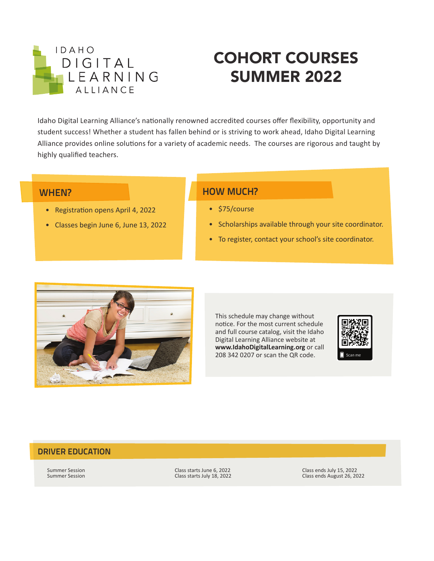

# COHORT COURSES SUMMER 2022

Idaho Digital Learning Alliance's nationally renowned accredited courses offer flexibility, opportunity and student success! Whether a student has fallen behind or is striving to work ahead, Idaho Digital Learning Alliance provides online solutions for a variety of academic needs. The courses are rigorous and taught by highly qualified teachers.

### WHEN?

- Registration opens April 4, 2022
- Classes begin June 6, June 13, 2022

## HOW MUCH?

- \$75/course
- Scholarships available through your site coordinator.
- To register, contact your school's site coordinator.



This schedule may change without notice. For the most current schedule and full course catalog, visit the Idaho Digital Learning Alliance website at **www.IdahoDigitalLearning.org** or call 208 342 0207 or scan the QR code.



### DRIVER EDUCATION

Summer Session Class starts June 6, 2022<br>Summer Session Class starts July 18, 2022 Class ends August 26, 20<br>Class ends August 26, 20

Class ends August 26, 2022